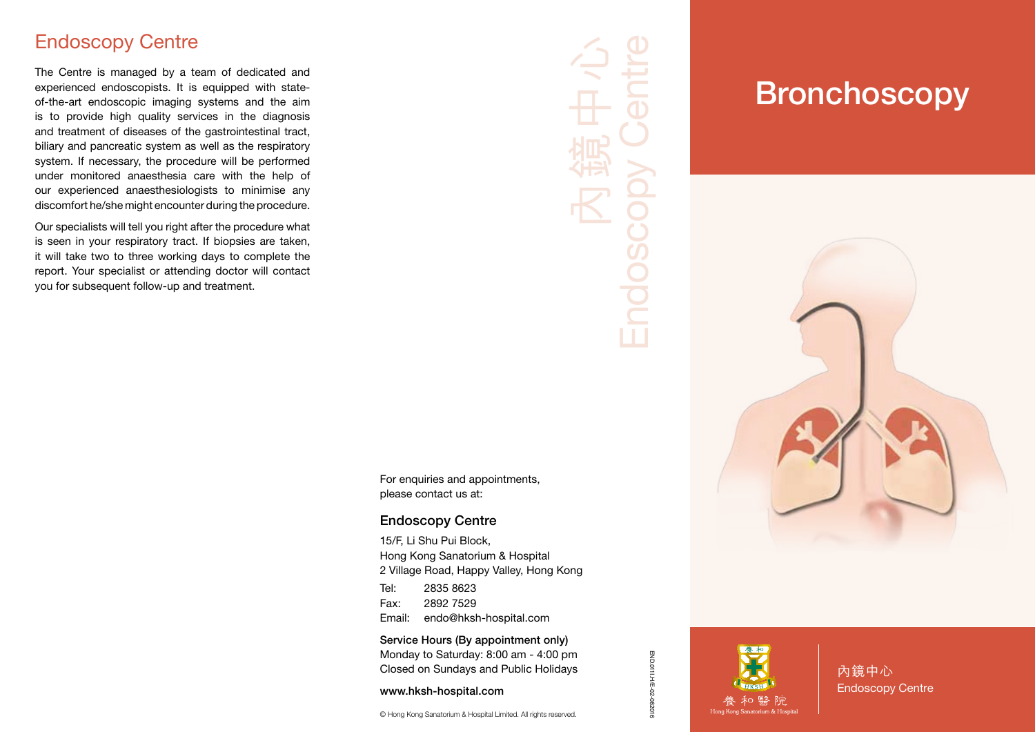#### Endoscopy Centre

The Centre is managed by a team of dedicated and experienced endoscopists. It is equipped with stateof-the-art endoscopic imaging systems and the aim is to provide high quality services in the diagnosis and treatment of diseases of the gastrointestinal tract, biliary and pancreatic system as well as the respiratory system. If necessary, the procedure will be performed under monitored anaesthesia care with the help of our experienced anaesthesiologists to minimise any discomfort he/she might encounter during the procedure.

Our specialists will tell you right after the procedure what is seen in your respiratory tract. If biopsies are taken, it will take two to three working days to complete the report. Your specialist or attending doctor will contact you for subsequent follow-up and treatment.

Endoscopy Centre 內鏡中心 **Endosco** 

For enquiries and appointments, please contact us at:

#### Endoscopy Centre

15/F, Li Shu Pui Block, Hong Kong Sanatorium & Hospital 2 Village Road, Happy Valley, Hong Kong Tel: 2835 8623

Fax: 2892 7529 Email: endo@hksh-hospital.com

Service Hours (By appointment only) Monday to Saturday: 8:00 am - 4:00 pm Closed on Sundays and Public Holidays

www.hksh-hospital.com

© Hong Kong Sanatorium & Hospital Limited. All rights reserved.

# **Bronchoscopy**



END.011I.H/E-02-082016

END.011LH/E-02-082016

內鏡中心 Endoscopy Centre